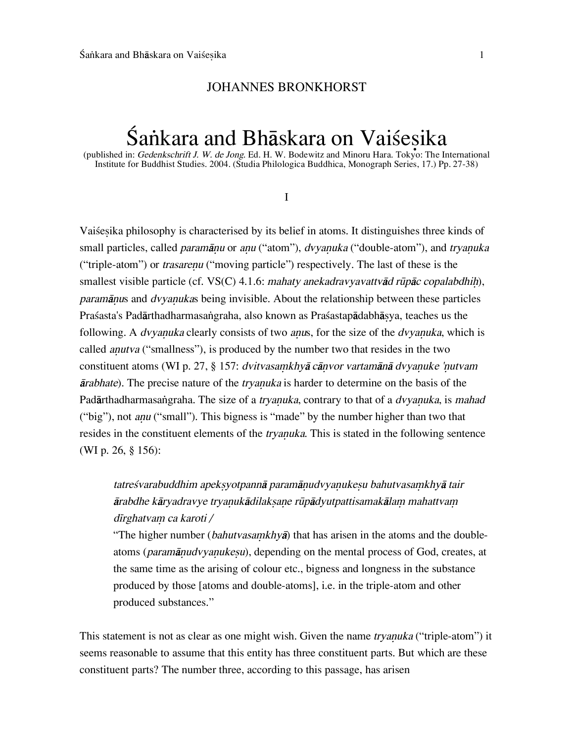### JOHANNES BRONKHORST

# Śankara and Bhāskara on Vaiśesika

(published in: Gedenkschrift J. W. de Jong. Ed. H. W. Bodewitz and Minoru Hara. Tokyo: The International Institute for Buddhist Studies. 2004. (Studia Philologica Buddhica, Monograph Series, 17.) Pp. 27-38)

I

Vaiße∑ika philosophy is characterised by its belief in atoms. It distinguishes three kinds of small particles, called *paramānu* or anu ("atom"), dvyanuka ("double-atom"), and tryanuka ("triple-atom") or *trasarenu* ("moving particle") respectively. The last of these is the smallest visible particle (cf. VS(C) 4.1.6: mahaty anekadravyavattv $\bar{a}d$  rūpāc copalabdhih), paramānus and dvyanukas being invisible. About the relationship between these particles Prašasta's Padārthadharmasangraha, also known as Prašastapādabhāsya, teaches us the following. A *dvyanuka* clearly consists of two *anus*, for the size of the *dvyanuka*, which is called *anutva* ("smallness"), is produced by the number two that resides in the two constituent atoms (WI p. 27, § 157: dvitvasamkhyā cānvor vartamānā dvyanuke 'nutvam  $\bar{a}$ rabhate). The precise nature of the *tryanuka* is harder to determine on the basis of the Padārthadharmasangraha. The size of a tryanuka, contrary to that of a dvyanuka, is mahad ("big"), not *anu* ("small"). This bigness is "made" by the number higher than two that resides in the constituent elements of the *tryanuka*. This is stated in the following sentence (WI p. 26, § 156):

## tatreśvarabuddhim apeksyotpannā paramānudvyanukesu bahutvasamkhyā tair ārabdhe kāryadravye tryanukādilaksane rūpādyutpattisamakālam mahattvam dīrghatvam ca karoti /

"The higher number (bahutvasamkhya) that has arisen in the atoms and the doubleatoms (paramānudvyanukesu), depending on the mental process of God, creates, at the same time as the arising of colour etc., bigness and longness in the substance produced by those [atoms and double-atoms], i.e. in the triple-atom and other produced substances."

This statement is not as clear as one might wish. Given the name *tryanuka* ("triple-atom") it seems reasonable to assume that this entity has three constituent parts. But which are these constituent parts? The number three, according to this passage, has arisen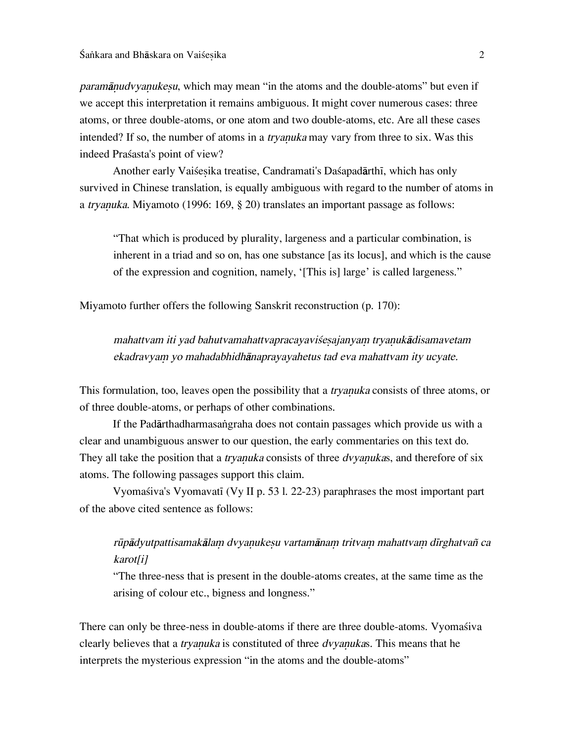paramānudvyanukesu, which may mean "in the atoms and the double-atoms" but even if we accept this interpretation it remains ambiguous. It might cover numerous cases: three atoms, or three double-atoms, or one atom and two double-atoms, etc. Are all these cases intended? If so, the number of atoms in a *tryanuka* may vary from three to six. Was this indeed Praßasta's point of view?

Another early Vaisesika treatise, Candramati's Dasapadārthī, which has only survived in Chinese translation, is equally ambiguous with regard to the number of atoms in a *tryanuka*. Miyamoto (1996: 169, § 20) translates an important passage as follows:

"That which is produced by plurality, largeness and a particular combination, is inherent in a triad and so on, has one substance [as its locus], and which is the cause of the expression and cognition, namely, '[This is] large' is called largeness."

Miyamoto further offers the following Sanskrit reconstruction (p. 170):

mahattvam iti yad bahutvamahattvapracayaviśesajanyam tryanukādisamavetam ekadravyam yo mahadabhidhānaprayayahetus tad eva mahattvam ity ucyate.

This formulation, too, leaves open the possibility that a *tryanuka* consists of three atoms, or of three double-atoms, or perhaps of other combinations.

If the Padārthadharmasangraha does not contain passages which provide us with a clear and unambiguous answer to our question, the early commentaries on this text do. They all take the position that a *tryanuka* consists of three *dvyanukas*, and therefore of six atoms. The following passages support this claim.

Vyomašiva's Vyomavatī (Vy II p. 53 l. 22-23) paraphrases the most important part of the above cited sentence as follows:

### rūpādyutpattisamakālam dvyanukesu vartamānam tritvam mahattvam dīrghatvañ ca karot[i]

"The three-ness that is present in the double-atoms creates, at the same time as the arising of colour etc., bigness and longness."

There can only be three-ness in double-atoms if there are three double-atoms. Vyomasiva clearly believes that a *tryanuka* is constituted of three *dvyanukas*. This means that he interprets the mysterious expression "in the atoms and the double-atoms"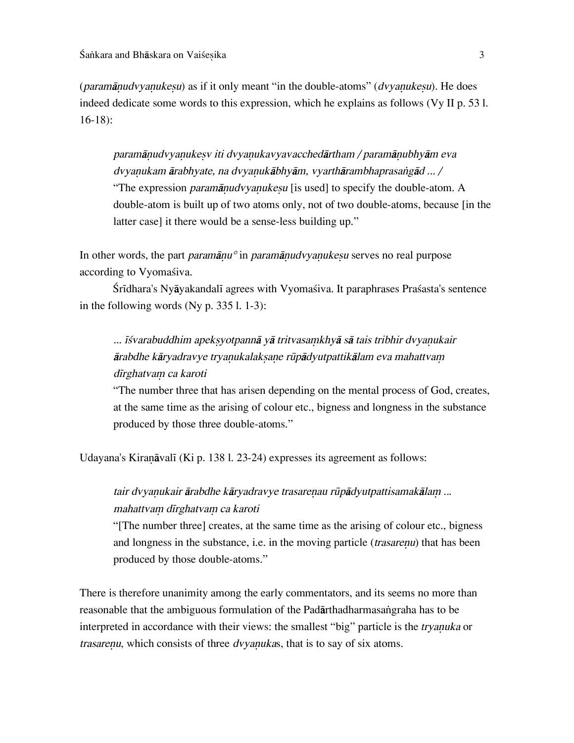(paramānudvyanukesu) as if it only meant "in the double-atoms" (dvyanukesu). He does indeed dedicate some words to this expression, which he explains as follows (Vy II p. 53 l. 16-18):

paramānudvyanukesv iti dvyanukavyavacchedārtham / paramānubhyām eva dvyanukam ārabhyate, na dvyanukābhyām, vyarthārambhaprasangād ... / "The expression *paramānudvyanukesu* [is used] to specify the double-atom. A double-atom is built up of two atoms only, not of two double-atoms, because [in the latter case] it there would be a sense-less building up."

In other words, the part *paramānu*<sup>°</sup> in *paramānudvyanukesu* serves no real purpose according to Vyomaśiva.

Śrīdhara's Nyāyakandalī agrees with Vyomaśiva. It paraphrases Praśasta's sentence in the following words (Ny p. 335 l. 1-3):

... īśvarabuddhim apeksyotpannā yā tritvasamkhyā sā tais tribhir dvyanukair ārabdhe kāryadravye tryanukalaksane rūpādyutpattikālam eva mahattvam dīrghatvam ca karoti

"The number three that has arisen depending on the mental process of God, creates, at the same time as the arising of colour etc., bigness and longness in the substance produced by those three double-atoms."

Udayana's Kiranāvalī (Ki p. 138 l. 23-24) expresses its agreement as follows:

tair dvyanukair ārabdhe kāryadravye trasarenau rūpādyutpattisamakālam ... mahattvam dīrghatvam ca karoti

"[The number three] creates, at the same time as the arising of colour etc., bigness and longness in the substance, i.e. in the moving particle *(trasarenu)* that has been produced by those double-atoms."

There is therefore unanimity among the early commentators, and its seems no more than reasonable that the ambiguous formulation of the Padårthadharmasa∫graha has to be interpreted in accordance with their views: the smallest "big" particle is the *tryanuka* or trasarenu, which consists of three dvyanukas, that is to say of six atoms.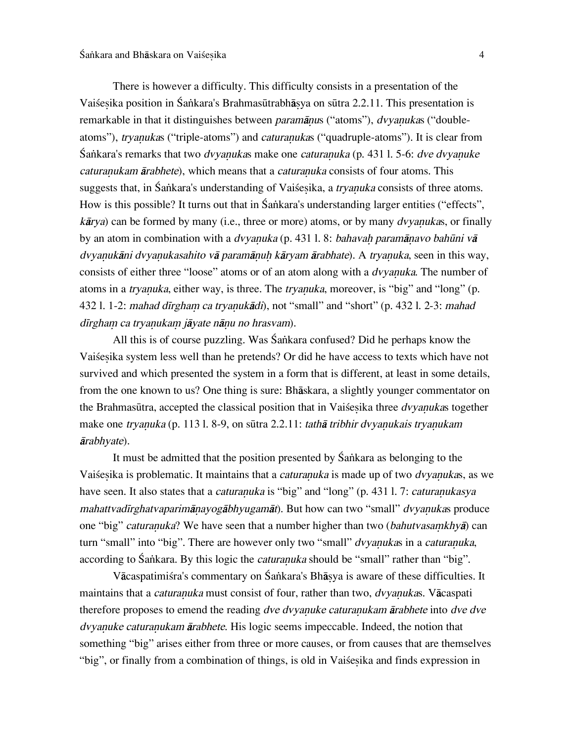There is however a difficulty. This difficulty consists in a presentation of the Vaiśesika position in Śankara's Brahmasūtrabhāsya on sūtra 2.2.11. This presentation is remarkable in that it distinguishes between *paramānus* ("atoms"), *dvyanukas* ("doubleatoms"), tryanukas ("triple-atoms") and *caturanukas* ("quadruple-atoms"). It is clear from  $S$ ankara's remarks that two *dvyanukas* make one *caturanuka* (p. 431 l. 5-6: *dve dvyanuke* caturanukam ārabhete), which means that a *caturanuka* consists of four atoms. This suggests that, in Śankara's understanding of Vaisesika, a *tryanuka* consists of three atoms. How is this possible? It turns out that in Śankara's understanding larger entities ("effects",  $k\bar{a}rya$ ) can be formed by many (i.e., three or more) atoms, or by many *dvyanukas*, or finally by an atom in combination with a *dvyanuka* (p. 431 l. 8: bahavah paramānavo bahūni vā dvyanukāni dvyanukasahito vā paramānuh kāryam ārabhate). A tryanuka, seen in this way, consists of either three "loose" atoms or of an atom along with a *dvyanuka*. The number of atoms in a *tryanuka*, either way, is three. The *tryanuka*, moreover, is "big" and "long" (p. 432 l. 1-2: mahad dīrgham ca tryanukādi), not "small" and "short" (p. 432 l. 2-3: mahad dīrgham ca tryanukam jāyate nānu no hrasvam).

All this is of course puzzling. Was Śankara confused? Did he perhaps know the Vaiśesika system less well than he pretends? Or did he have access to texts which have not survived and which presented the system in a form that is different, at least in some details, from the one known to us? One thing is sure: Bhåskara, a slightly younger commentator on the Brahmasūtra, accepted the classical position that in Vaisesika three *dvyanukas* together make one tryanuka (p. 113 l. 8-9, on sūtra 2.2.11: tathā tribhir dvyanukais tryanukam årabhyate).

It must be admitted that the position presented by Śankara as belonging to the Vaiśesika is problematic. It maintains that a *caturanuka* is made up of two *dvyanuka*s, as we have seen. It also states that a *caturanuka* is "big" and "long" (p. 431 l. 7: *caturanukasya* mahattvadīrghatvaparimānayogābhyugamāt). But how can two "small" dvyanukas produce one "big" caturanuka? We have seen that a number higher than two (bahutvasamkhya) can turn "small" into "big". There are however only two "small" *dvyanukas* in a *caturanuka*, according to Śankara. By this logic the *caturanuka* should be "small" rather than "big".

Vācaspatimiśra's commentary on Śankara's Bhāsya is aware of these difficulties. It maintains that a caturanuka must consist of four, rather than two, dvyanukas. Vācaspati therefore proposes to emend the reading dve dvyanuke caturanukam ārabhete into dve dve dvyanuke caturanukam ārabhete. His logic seems impeccable. Indeed, the notion that something "big" arises either from three or more causes, or from causes that are themselves "big", or finally from a combination of things, is old in Vaisesika and finds expression in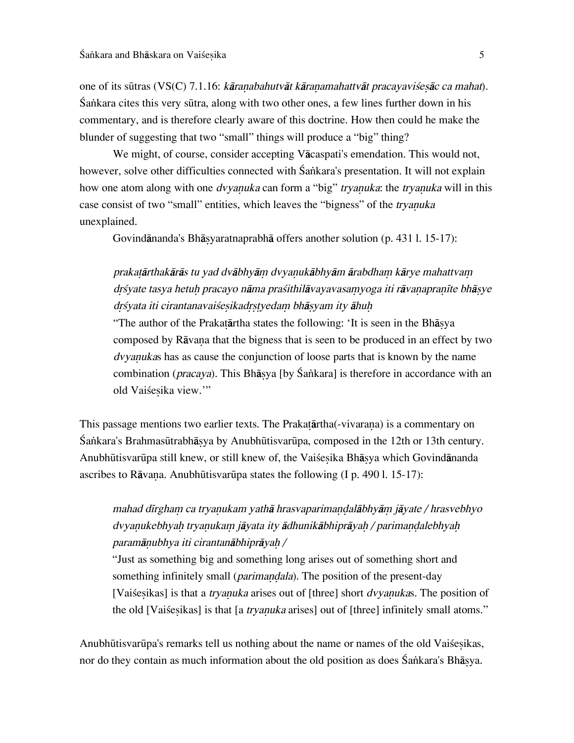one of its sūtras (VS(C) 7.1.16: kāranabahutvāt kāranamahattvāt pracayavisesāc ca mahat). Ía∫kara cites this very sËtra, along with two other ones, a few lines further down in his commentary, and is therefore clearly aware of this doctrine. How then could he make the blunder of suggesting that two "small" things will produce a "big" thing?

We might, of course, consider accepting Våcaspati's emendation. This would not, however, solve other difficulties connected with Śankara's presentation. It will not explain how one atom along with one *dvyanuka* can form a "big" *tryanuka*: the *tryanuka* will in this case consist of two "small" entities, which leaves the "bigness" of the *tryanuka* unexplained.

Govindånanda's Bhå∑yaratnaprabhå offers another solution (p. 431 l. 15-17):

### prakatārthakārās tu yad dvābhyām dvyanukābhyām ārabdham kārye mahattvam drśyate tasya hetuh pracayo nāma praśithilāvayavasamyoga iti rāvanapranīte bhāsye drśyata iti cirantanavaiśesikadrstyedam bhāsyam ity āhuh

"The author of the Prakatārtha states the following: 'It is seen in the Bhāsya composed by Rāvana that the bigness that is seen to be produced in an effect by two dvyanukas has as cause the conjunction of loose parts that is known by the name combination (*pracaya*). This Bhāsya [by Śankara] is therefore in accordance with an old Vaiśesika view."

This passage mentions two earlier texts. The Prakatartha(-vivarana) is a commentary on Ía∫kara's BrahmasËtrabhå∑ya by AnubhËtisvarËpa, composed in the 12th or 13th century. Anubhūtisvarūpa still knew, or still knew of, the Vaiśesika Bhāsya which Govindānanda ascribes to Rāvana. Anubhūtisvarūpa states the following  $(I_p$ . 490 l. 15-17):

# mahad dīrgham ca tryanukam yathā hrasvaparimandalābhyām jāyate / hrasvebhyo dvyanukebhyah tryanukam jāyata ity ādhunikābhiprāyah / parimandalebhyah paramānubhya iti cirantanābhiprāyah /

"Just as something big and something long arises out of something short and something infinitely small (*parimandala*). The position of the present-day [Vaiśesikas] is that a *tryanuka* arises out of [three] short *dvyanukas*. The position of the old [Vaiśesikas] is that [a *tryanuka* arises] out of [three] infinitely small atoms."

Anubhūtisvarūpa's remarks tell us nothing about the name or names of the old Vaisesikas, nor do they contain as much information about the old position as does Śankara's Bhāsya.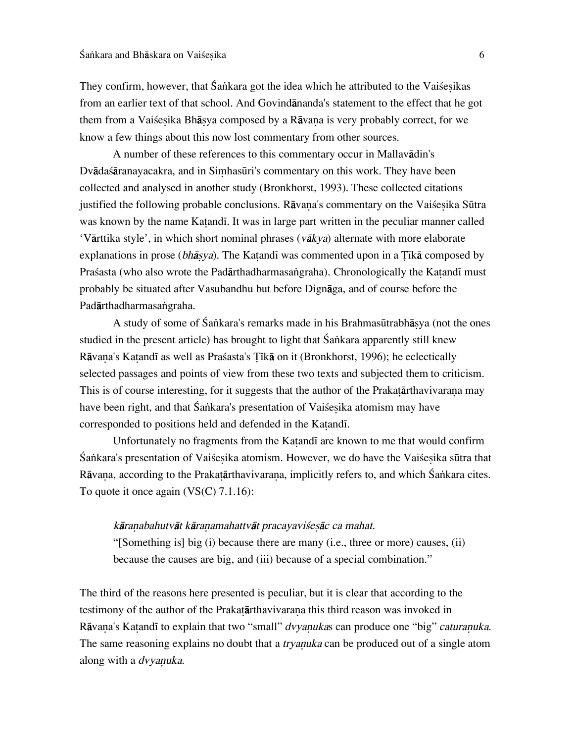They confirm, however, that Śankara got the idea which he attributed to the Vaiśesikas from an earlier text of that school. And Govindånanda's statement to the effect that he got them from a Vaišesika Bhāsya composed by a Rāvana is very probably correct, for we know a few things about this now lost commentary from other sources.

A number of these references to this commentary occur in Mallavådin's Dvādasāranayacakra, and in Simhasūri's commentary on this work. They have been collected and analysed in another study (Bronkhorst, 1993). These collected citations justified the following probable conclusions. Rāvana's commentary on the Vaisesika Sūtra was known by the name Katandi. It was in large part written in the peculiar manner called 'Vārttika style', in which short nominal phrases ( $v$ ākya) alternate with more elaborate explanations in prose (bhāsya). The Katandī was commented upon in a Tīkā composed by Praśasta (who also wrote the Padārthadharmasangraha). Chronologically the Katandī must probably be situated after Vasubandhu but before Dignåga, and of course before the Padārthadharmasangraha.

A study of some of Śankara's remarks made in his Brahmasūtrabhāsya (not the ones studied in the present article) has brought to light that Śankara apparently still knew Rāvana's Katandī as well as Prasasta's Tīkā on it (Bronkhorst, 1996); he eclectically selected passages and points of view from these two texts and subjected them to criticism. This is of course interesting, for it suggests that the author of the Prakatarthavivarana may have been right, and that Śankara's presentation of Vaisesika atomism may have corresponded to positions held and defended in the Katandi.

Unfortunately no fragments from the Katandi are known to me that would confirm Śankara's presentation of Vaiśesika atomism. However, we do have the Vaiśesika sūtra that Rāvana, according to the Prakatārthavivarana, implicitly refers to, and which Śankara cites. To quote it once again (VS(C) 7.1.16):

### kāranabahutvāt kāranamahattvāt pracayaviśesāc ca mahat.

"[Something is] big (i) because there are many (i.e., three or more) causes, (ii) because the causes are big, and (iii) because of a special combination."

The third of the reasons here presented is peculiar, but it is clear that according to the testimony of the author of the Prakatarthavivarana this third reason was invoked in Rāvana's Katandī to explain that two "small" dvyanukas can produce one "big" caturanuka. The same reasoning explains no doubt that a *tryanuka* can be produced out of a single atom along with a *dvyanuka*.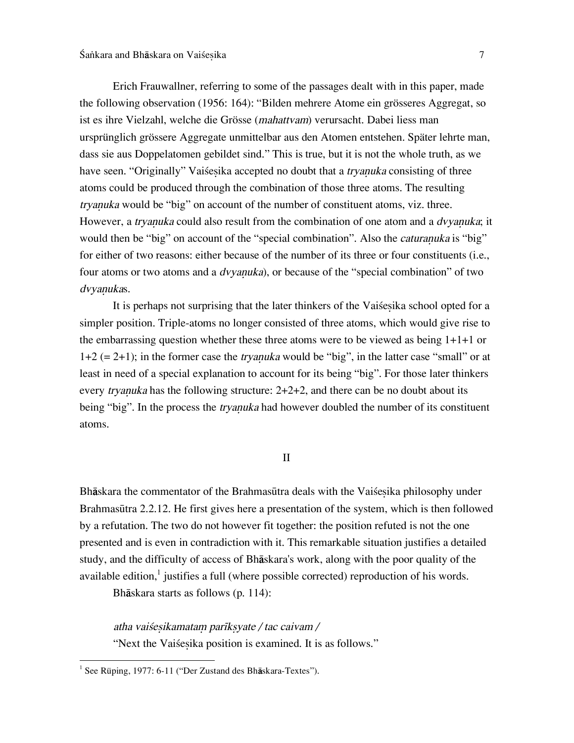Erich Frauwallner, referring to some of the passages dealt with in this paper, made the following observation (1956: 164): "Bilden mehrere Atome ein grösseres Aggregat, so ist es ihre Vielzahl, welche die Grösse (mahattvam) verursacht. Dabei liess man ursprünglich grössere Aggregate unmittelbar aus den Atomen entstehen. Später lehrte man, dass sie aus Doppelatomen gebildet sind." This is true, but it is not the whole truth, as we have seen. "Originally" Vaisesika accepted no doubt that a *tryanuka* consisting of three atoms could be produced through the combination of those three atoms. The resulting tryanuka would be "big" on account of the number of constituent atoms, viz. three. However, a tryanuka could also result from the combination of one atom and a *dvyanuka*; it would then be "big" on account of the "special combination". Also the *caturanuka* is "big" for either of two reasons: either because of the number of its three or four constituents (i.e., four atoms or two atoms and a *dvyanuka*), or because of the "special combination" of two dvyanukas.

It is perhaps not surprising that the later thinkers of the Vaisesika school opted for a simpler position. Triple-atoms no longer consisted of three atoms, which would give rise to the embarrassing question whether these three atoms were to be viewed as being 1+1+1 or  $1+2$  (= 2+1); in the former case the *tryanuka* would be "big", in the latter case "small" or at least in need of a special explanation to account for its being "big". For those later thinkers every *tryanuka* has the following structure:  $2+2+2$ , and there can be no doubt about its being "big". In the process the *tryanuka* had however doubled the number of its constituent atoms.

#### II

Bhāskara the commentator of the Brahmasūtra deals with the Vaisesika philosophy under BrahmasËtra 2.2.12. He first gives here a presentation of the system, which is then followed by a refutation. The two do not however fit together: the position refuted is not the one presented and is even in contradiction with it. This remarkable situation justifies a detailed study, and the difficulty of access of Bhåskara's work, along with the poor quality of the available edition,<sup>1</sup> justifies a full (where possible corrected) reproduction of his words.

Bhåskara starts as follows (p. 114):

atha vaiśesikamatam parīksyate / tac caivam /

"Next the Vaisesika position is examined. It is as follows."

 $\frac{1}{1}$ <sup>1</sup> See Rüping, 1977: 6-11 ("Der Zustand des Bh $\bar{a}$ skara-Textes").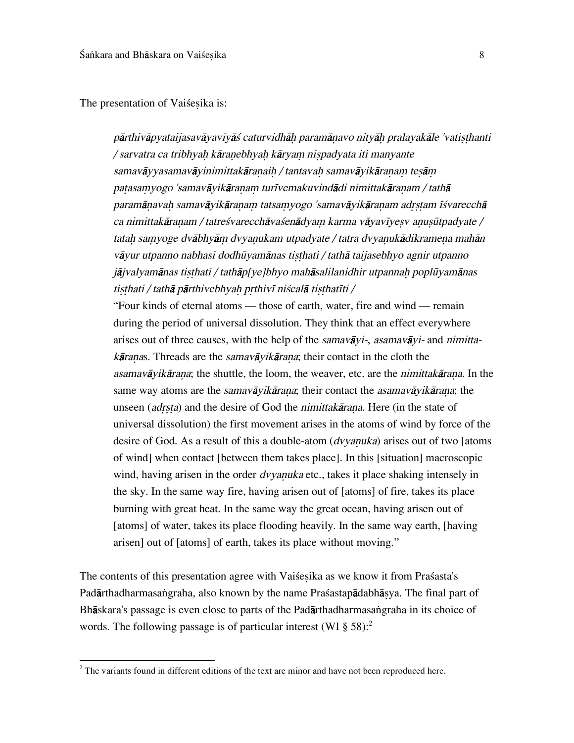The presentation of Vaiśesika is:

pārthivāpyataijasavāyavīyāś caturvidhāh paramānavo nityāh pralayakāle 'vatisthanti / sarvatra ca tribhyah kāranebhyah kāryam nispadyata iti manyante samavāyyasamavāyinimittakāranaih / tantavah samavāyikāranam tesām patasamyogo 'samavāyikāranam turīvemakuvindādi nimittakāranam / tathā paramānavah samavāyikāranam tatsamyogo 'samavāyikāranam adrstam īśvarecchā ca nimittakāranam / tatreśvarecchāvaśenādyam karma vāyavīyesv anusūtpadyate / tatah samyoge dvābhyām dvyanukam utpadyate / tatra dvyanukādikramena mahān vāyur utpanno nabhasi dodhūyamānas tisthati / tathā taijasebhyo agnir utpanno jājvalyamānas tisthati / tathāp[ye]bhyo mahāsalilanidhir utpannah poplūyamānas tisthati / tathā pārthivebhyah prthivī niścalā tisthatīti /

"Four kinds of eternal atoms — those of earth, water, fire and wind — remain during the period of universal dissolution. They think that an effect everywhere arises out of three causes, with the help of the samavayi-, asamavayi- and nimitta $k\bar{a}$  ranas. Threads are the samav $\bar{a}$ yik $\bar{a}$  rana; their contact in the cloth the asamavāyikārana; the shuttle, the loom, the weaver, etc. are the *nimittakārana*. In the same way atoms are the *samavāyikārana*; their contact the *asamavāyikārana*; the unseen (adrsta) and the desire of God the nimittakārana. Here (in the state of universal dissolution) the first movement arises in the atoms of wind by force of the desire of God. As a result of this a double-atom  $(dvyanuka)$  arises out of two [atoms of wind] when contact [between them takes place]. In this [situation] macroscopic wind, having arisen in the order *dvyanuka* etc., takes it place shaking intensely in the sky. In the same way fire, having arisen out of [atoms] of fire, takes its place burning with great heat. In the same way the great ocean, having arisen out of [atoms] of water, takes its place flooding heavily. In the same way earth, [having arisen] out of [atoms] of earth, takes its place without moving."

The contents of this presentation agree with Vaisesika as we know it from Prasasta's Padārthadharmasangraha, also known by the name Praśastapādabhāsya. The final part of Bhāskara's passage is even close to parts of the Padārthadharmasangraha in its choice of words. The following passage is of particular interest (WI  $\S 58$ ):<sup>2</sup>

 $\frac{1}{2}$  $2$  The variants found in different editions of the text are minor and have not been reproduced here.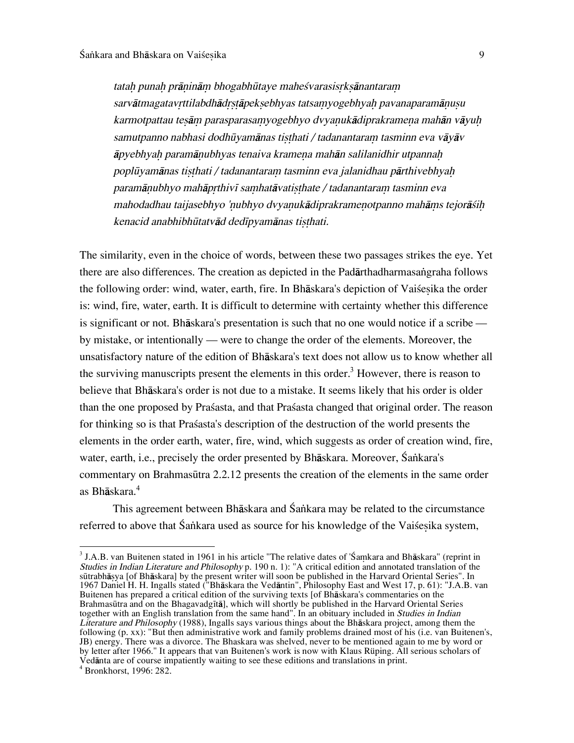tatah punah prāninām bhogabhūtaye maheśvarasisrksānantaram sarvātmagatavrttilabdhādrstāpeksebhyas tatsamyogebhyah pavanaparamānusu karmotpattau tesām parasparasamyogebhyo dvyanukādiprakramena mahān vāyuh samutpanno nabhasi dodhūyamānas tisthati / tadanantaram tasminn eva vāyāv āpyebhyah paramānubhyas tenaiva kramena mahān salilanidhir utpannah poplūyamānas tisthati / tadanantaram tasminn eva jalanidhau pārthivebhyah paramānubhyo mahāprthivī samhatāvatisthate / tadanantaram tasminn eva mahodadhau taijasebhyo 'nubhyo dvyanukādiprakramenotpanno mahāms tejorāśih kenacid anabhibhūtatvād dedīpyamānas tisthati.

The similarity, even in the choice of words, between these two passages strikes the eye. Yet there are also differences. The creation as depicted in the Padārthadharmasangraha follows the following order: wind, water, earth, fire. In Bhāskara's depiction of Vaisesika the order is: wind, fire, water, earth. It is difficult to determine with certainty whether this difference is significant or not. Bhåskara's presentation is such that no one would notice if a scribe by mistake, or intentionally — were to change the order of the elements. Moreover, the unsatisfactory nature of the edition of Bhåskara's text does not allow us to know whether all the surviving manuscripts present the elements in this order.<sup>3</sup> However, there is reason to believe that Bhåskara's order is not due to a mistake. It seems likely that his order is older than the one proposed by Praßasta, and that Praßasta changed that original order. The reason for thinking so is that Praßasta's description of the destruction of the world presents the elements in the order earth, water, fire, wind, which suggests as order of creation wind, fire, water, earth, i.e., precisely the order presented by Bhāskara. Moreover, Śankara's commentary on Brahmasūtra 2.2.12 presents the creation of the elements in the same order as Bhåskara.<sup>4</sup>

This agreement between Bhāskara and Śankara may be related to the circumstance referred to above that Śankara used as source for his knowledge of the Vaisesika system,

 $\frac{1}{3}$  $3$  J.A.B. van Buitenen stated in 1961 in his article "The relative dates of 'Śamkara and Bhāskara" (reprint in Studies in Indian Literature and Philosophy p. 190 n. 1): "A critical edition and annotated translation of the sūtrabhāṣya [of Bhāskara] by the present writer will soon be published in the Harvard Oriental Series". In 1967 Daniel H. H. Ingalls stated ("Bhåskara the Vedåntin", Philosophy East and West 17, p. 61): "J.A.B. van Buitenen has prepared a critical edition of the surviving texts [of Bhåskara's commentaries on the Brahmasūtra and on the Bhagavadgītā], which will shortly be published in the Harvard Oriental Series together with an English translation from the same hand". In an obituary included in Studies in Indian Literature and Philosophy (1988), Ingalls says various things about the Bhåskara project, among them the following (p. xx): "But then administrative work and family problems drained most of his (i.e. van Buitenen's, JB) energy. There was a divorce. The Bhaskara was shelved, never to be mentioned again to me by word or by letter after 1966." It appears that van Buitenen's work is now with Klaus Rüping. All serious scholars of Vedånta are of course impatiently waiting to see these editions and translations in print. <sup>4</sup>  $4$  Bronkhorst, 1996: 282.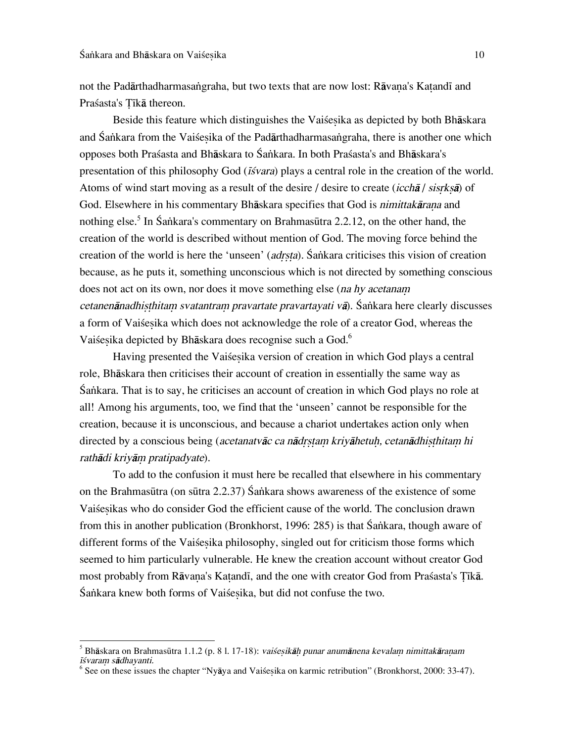not the Padārthadharmasangraha, but two texts that are now lost: Rāvana's Katandī and Praśasta's Tīkā thereon.

Beside this feature which distinguishes the Vaisesika as depicted by both Bhāskara and Śankara from the Vaisesika of the Padārthadharmasangraha, there is another one which opposes both Praßasta and Bhåskara to Ía∫kara. In both Praßasta's and Bhåskara's presentation of this philosophy God ( $\vec{I}$ svara) plays a central role in the creation of the world. Atoms of wind start moving as a result of the desire / desire to create (icch $\bar{a}$  / sisrks $\bar{a}$ ) of God. Elsewhere in his commentary Bhāskara specifies that God is *nimittakārana* and nothing else.<sup>5</sup> In Śaṅkara's commentary on Brahmasūtra 2.2.12, on the other hand, the creation of the world is described without mention of God. The moving force behind the creation of the world is here the 'unseen' (*adrsta*). Śankara criticises this vision of creation because, as he puts it, something unconscious which is not directed by something conscious does not act on its own, nor does it move something else (na hy acetanam cetanenānadhisthitam svatantram pravartate pravartayati vā). Šankara here clearly discusses a form of Vaiśesika which does not acknowledge the role of a creator God, whereas the Vaiśesika depicted by Bhāskara does recognise such a God.<sup>6</sup>

Having presented the Vai esika version of creation in which God plays a central role, Bhåskara then criticises their account of creation in essentially the same way as Sankara. That is to say, he criticises an account of creation in which God plays no role at all! Among his arguments, too, we find that the 'unseen' cannot be responsible for the creation, because it is unconscious, and because a chariot undertakes action only when directed by a conscious being (acetanatvāc ca nādrstam kriyāhetuh, cetanādhisthitam hi rathādi kriyām pratipadyate).

To add to the confusion it must here be recalled that elsewhere in his commentary on the Brahmasūtra (on sūtra 2.2.37) Śankara shows awareness of the existence of some Vaiśesikas who do consider God the efficient cause of the world. The conclusion drawn from this in another publication (Bronkhorst, 1996: 285) is that Śankara, though aware of different forms of the Vaiśesika philosophy, singled out for criticism those forms which seemed to him particularly vulnerable. He knew the creation account without creator God most probably from Rāvana's Katandī, and the one with creator God from Prasasta's Tīkā. Ía∫kara knew both forms of Vaiße∑ika, but did not confuse the two.

<sup>-&</sup>lt;br>5 Bhāskara on Brahmasūtra 1.1.2 (p. 8 l. 17-18): vaiśesikāḥ punar anumānena kevalam nimittakāraṇam īśvaram sādhayanti.

<sup>&</sup>lt;sup>6</sup> See on these issues the chapter "Nyāya and Vaiśeṣika on karmic retribution" (Bronkhorst, 2000: 33-47).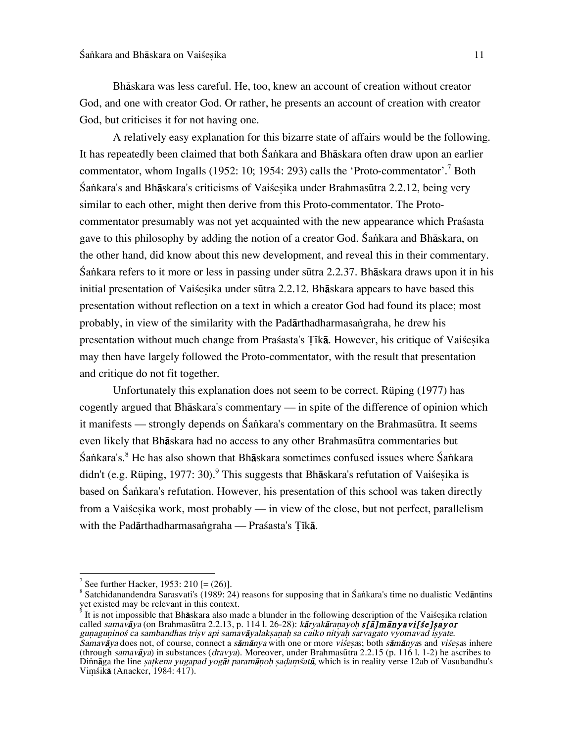Bhåskara was less careful. He, too, knew an account of creation without creator God, and one with creator God. Or rather, he presents an account of creation with creator God, but criticises it for not having one.

A relatively easy explanation for this bizarre state of affairs would be the following. It has repeatedly been claimed that both Śankara and Bhāskara often draw upon an earlier commentator, whom Ingalls (1952: 10; 1954: 293) calls the 'Proto-commentator'.<sup>7</sup> Both Ía∫kara's and Bhåskara's criticisms of Vaiße∑ika under BrahmasËtra 2.2.12, being very similar to each other, might then derive from this Proto-commentator. The Protocommentator presumably was not yet acquainted with the new appearance which Praßasta gave to this philosophy by adding the notion of a creator God. Śankara and Bhāskara, on the other hand, did know about this new development, and reveal this in their commentary. Ía∫kara refers to it more or less in passing under sËtra 2.2.37. Bhåskara draws upon it in his initial presentation of Vaisesika under sūtra 2.2.12. Bhāskara appears to have based this presentation without reflection on a text in which a creator God had found its place; most probably, in view of the similarity with the Padārthadharmasangraha, he drew his presentation without much change from Praśasta's Tīkā. However, his critique of Vaiśesika may then have largely followed the Proto-commentator, with the result that presentation and critique do not fit together.

Unfortunately this explanation does not seem to be correct. Rüping (1977) has cogently argued that Bhåskara's commentary — in spite of the difference of opinion which it manifests — strongly depends on Śankara's commentary on the Brahmasūtra. It seems even likely that Bhåskara had no access to any other BrahmasËtra commentaries but Śankara's.<sup>8</sup> He has also shown that Bhāskara sometimes confused issues where Śankara didn't (e.g. Rüping, 1977: 30).<sup>9</sup> This suggests that Bhāskara's refutation of Vaiśesika is based on Śankara's refutation. However, his presentation of this school was taken directly from a Vaisesika work, most probably — in view of the close, but not perfect, parallelism with the Padārthadharmasangraha — Praśasta's Țīkā.

It is not impossible that Bhāskara also made a blunder in the following description of the Vaiśesika relation called *samavāya* (on Brahmasūtra 2.2.13, p. 114 l. 26-28): *kāryakāraṇayoḥ s[ā]mānyavi[śe]ṣayor* gunaguninoś ca sambandhas trisv api samavāyalakṣaṇaḥ sa caiko nityaḥ sarvagato vyomavad isyate. Samavåya does not, of course, connect a sāmānya with one or more viśesas; both sāmānyas and viśesas inhere (through samavåya) in substances (dravya). Moreover, under BrahmasËtra 2.2.15 (p. 116 l. 1-2) he ascribes to Dinnāga the line *satkena yugapad yogāt paramānoh sadamśatā*, which is in reality verse 12ab of Vasubandhu's Viµßikå (Anacker, 1984: 417).

<sup>-&</sup>lt;br>7 See further Hacker, 1953: 210 [= (26)].

<sup>&</sup>lt;sup>8</sup> Satchidanandendra Sarasvati's (1989: 24) reasons for supposing that in Śankara's time no dualistic Vedāntins yet existed may be relevant in this context.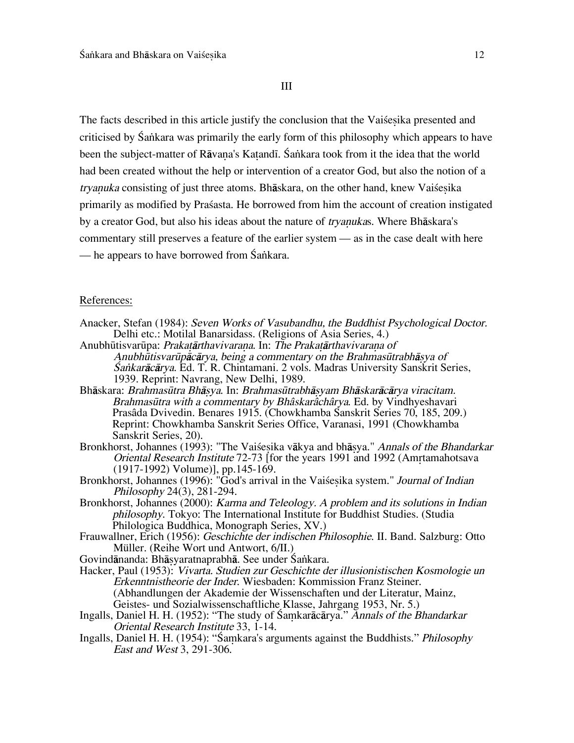III

The facts described in this article justify the conclusion that the Vaisesika presented and criticised by Śankara was primarily the early form of this philosophy which appears to have been the subject-matter of Rāvana's Katandī. Śankara took from it the idea that the world had been created without the help or intervention of a creator God, but also the notion of a tryanuka consisting of just three atoms. Bhāskara, on the other hand, knew Vaisesika primarily as modified by Praßasta. He borrowed from him the account of creation instigated by a creator God, but also his ideas about the nature of *tryanukas*. Where Bhāskara's commentary still preserves a feature of the earlier system — as in the case dealt with here — he appears to have borrowed from Śankara.

### References:

- Anacker, Stefan (1984): Seven Works of Vasubandhu, the Buddhist Psychological Doctor. Delhi etc.: Motilal Banarsidass. (Religions of Asia Series, 4.)
- Anubhūtisvarūpa: Prakatārthavivarana. In: The Prakatārthavivarana of Anubhūtisvarūpācārya, being a commentary on the Brahmasūtrabhāsya of Ía∫karåcårya. Ed. T. R. Chintamani. 2 vols. Madras University Sanskrit Series, 1939. Reprint: Navrang, New Delhi, 1989.
- Bhāskara: Brahmasūtra Bhāsya. In: Brahmasūtrabhāsyam Bhāskarācārya viracitam. Brahmasūtra with a commentary by Bhâskarâchârya. Ed. by Vindhyeshavari Prasâda Dvivedin. Benares 1915. (Chowkhamba Sanskrit Series 70, 185, 209.) Reprint: Chowkhamba Sanskrit Series Office, Varanasi, 1991 (Chowkhamba Sanskrit Series, 20).
- Bronkhorst, Johannes (1993): "The Vaiśesika vākya and bhāsya." Annals of the Bhandarkar Oriental Research Institute 72-73 [for the years 1991 and 1992 (Amrtamahotsava (1917-1992) Volume)], pp.145-169.
- Bronkhorst, Johannes (1996): "God's arrival in the Vaisesika system." Journal of Indian Philosophy 24(3), 281-294.
- Bronkhorst, Johannes (2000): Karma and Teleology. A problem and its solutions in Indian philosophy. Tokyo: The International Institute for Buddhist Studies. (Studia Philologica Buddhica, Monograph Series, XV.)
- Frauwallner, Erich (1956): Geschichte der indischen Philosophie. II. Band. Salzburg: Otto Müller. (Reihe Wort und Antwort, 6/II.)
- Govindānanda: Bhāṣyaratnaprabhā. See under Śankara.
- Hacker, Paul (1953): Vivarta. Studien zur Geschichte der illusionistischen Kosmologie un Erkenntnistheorie der Inder. Wiesbaden: Kommission Franz Steiner. (Abhandlungen der Akademie der Wissenschaften und der Literatur, Mainz, Geistes- und Sozialwissenschaftliche Klasse, Jahrgang 1953, Nr. 5.)
- Ingalls, Daniel H. H. (1952): "The study of Śamkarācārya." Annals of the Bhandarkar Oriental Research Institute 33, 1-14.
- Ingalls, Daniel H. H. (1954): "Samkara's arguments against the Buddhists." Philosophy East and West 3, 291-306.